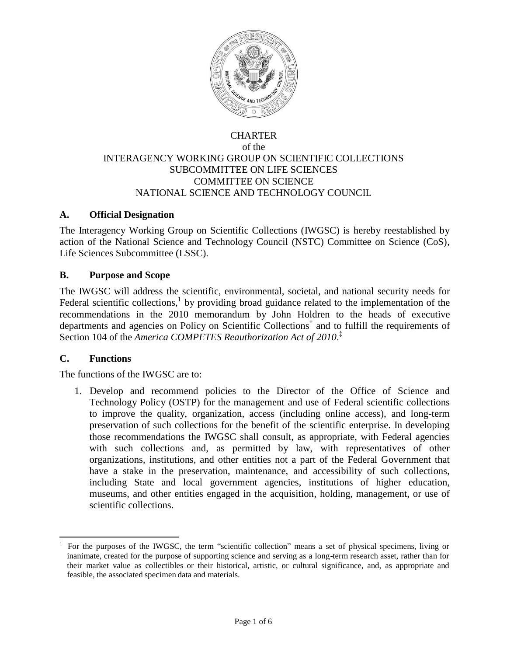

### CHARTER of the INTERAGENCY WORKING GROUP ON SCIENTIFIC COLLECTIONS SUBCOMMITTEE ON LIFE SCIENCES COMMITTEE ON SCIENCE NATIONAL SCIENCE AND TECHNOLOGY COUNCIL

## **A. Official Designation**

The Interagency Working Group on Scientific Collections (IWGSC) is hereby reestablished by action of the National Science and Technology Council (NSTC) Committee on Science (CoS), Life Sciences Subcommittee (LSSC).

### **B. Purpose and Scope**

The IWGSC will address the scientific, environmental, societal, and national security needs for Federal scientific collections,<sup>1</sup> by providing broad guidance related to the implementation of the recommendations in the 2010 memorandum by John Holdren to the heads of executive departments and agencies on Policy on Scientific Collections<sup>†</sup> and to fulfill the requirements of Section 104 of the *America COMPETES Reauthorization Act of 2010*. ‡

### **C. Functions**

The functions of the IWGSC are to:

1. Develop and recommend policies to the Director of the Office of Science and Technology Policy (OSTP) for the management and use of Federal scientific collections to improve the quality, organization, access (including online access), and long-term preservation of such collections for the benefit of the scientific enterprise. In developing those recommendations the IWGSC shall consult, as appropriate, with Federal agencies with such collections and, as permitted by law, with representatives of other organizations, institutions, and other entities not a part of the Federal Government that have a stake in the preservation, maintenance, and accessibility of such collections, including State and local government agencies, institutions of higher education, museums, and other entities engaged in the acquisition, holding, management, or use of scientific collections.

<sup>1</sup>For the purposes of the IWGSC, the term "scientific collection" means a set of physical specimens, living or inanimate, created for the purpose of supporting science and serving as a long-term research asset, rather than for their market value as collectibles or their historical, artistic, or cultural significance, and, as appropriate and feasible, the associated specimen data and materials.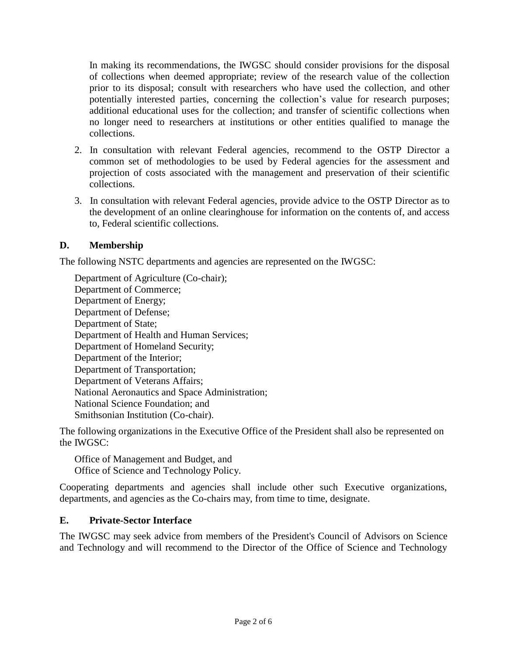In making its recommendations, the IWGSC should consider provisions for the disposal of collections when deemed appropriate; review of the research value of the collection prior to its disposal; consult with researchers who have used the collection, and other potentially interested parties, concerning the collection's value for research purposes; additional educational uses for the collection; and transfer of scientific collections when no longer need to researchers at institutions or other entities qualified to manage the collections.

- 2. In consultation with relevant Federal agencies, recommend to the OSTP Director a common set of methodologies to be used by Federal agencies for the assessment and projection of costs associated with the management and preservation of their scientific collections.
- 3. In consultation with relevant Federal agencies, provide advice to the OSTP Director as to the development of an online clearinghouse for information on the contents of, and access to, Federal scientific collections.

## **D. Membership**

The following NSTC departments and agencies are represented on the IWGSC:

Department of Agriculture (Co-chair); Department of Commerce; Department of Energy; Department of Defense; Department of State; Department of Health and Human Services; Department of Homeland Security; Department of the Interior; Department of Transportation; Department of Veterans Affairs; National Aeronautics and Space Administration; National Science Foundation; and Smithsonian Institution (Co-chair).

The following organizations in the Executive Office of the President shall also be represented on the IWGSC:

Office of Management and Budget, and Office of Science and Technology Policy.

Cooperating departments and agencies shall include other such Executive organizations, departments, and agencies as the Co-chairs may, from time to time, designate.

## **E. Private-Sector Interface**

The IWGSC may seek advice from members of the President's Council of Advisors on Science and Technology and will recommend to the Director of the Office of Science and Technology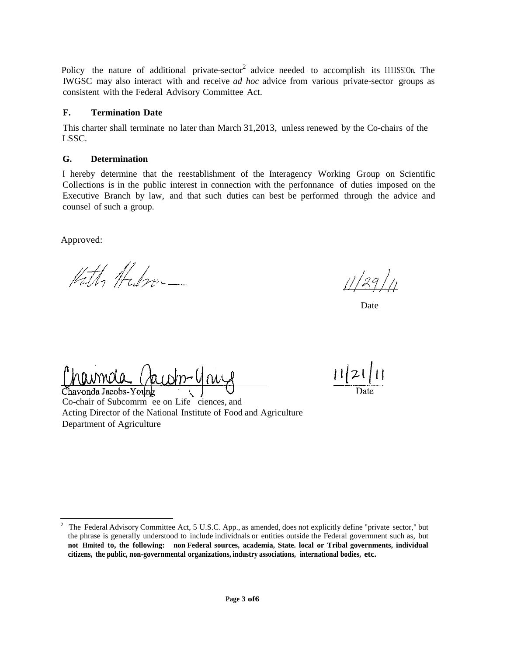Policy the nature of additional private-sector<sup>2</sup> advice needed to accomplish its 1111SS!On. The IWGSC may also interact with and receive *ad hoc* advice from various private-sector groups as consistent with the Federal Advisory Committee Act.

#### **F. Termination Date**

This charter shall terminate no later than March 31,2013, unless renewed by the Co-chairs of the LSSC.

#### **G. Determination**

I hereby determine that the reestablishment of the Interagency Working Group on Scientific Collections is in the public interest in connection with the perfonnance of duties imposed on the Executive Branch by law, and that such duties can best be performed through the advice and counsel of such a group.

Approved:

Kathy Habron

11/29

Date

 $0.10000a$ Chavonda Jacobs-Younk

Co-chair of Subcomrm ee on Life ciences, and Acting Director of the National Institute of Food and Agriculture Department of Agriculture

 $11|21|$ 

<sup>&</sup>lt;sup>2</sup> The Federal Advisory Committee Act, 5 U.S.C. App., as amended, does not explicitly define "private sector," but the phrase is generally understood to include individnals or entities outside the Federal govermnent such as, but **not Hmited to, the following: non Federal sources, academia, State. local or Tribal governments, individual citizens, the public, non-governmental organizations, industry associations, international bodies, etc.**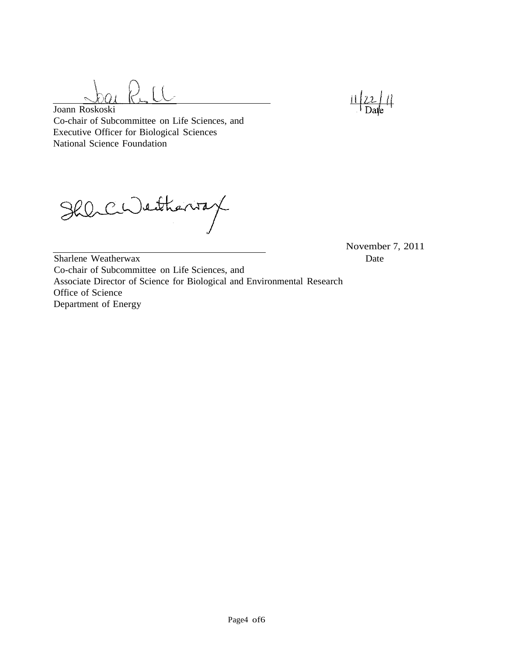

Joann Roskoski Co-chair of Subcommittee on Life Sciences, and Executive Officer for Biological Sciences National Science Foundation

Shlichentheniax

November 7, 2011 Date

Sharlene Weatherwax Co-chair of Subcommittee on Life Sciences, and Associate Director of Science for Biological and Environmental Research Office of Science Department of Energy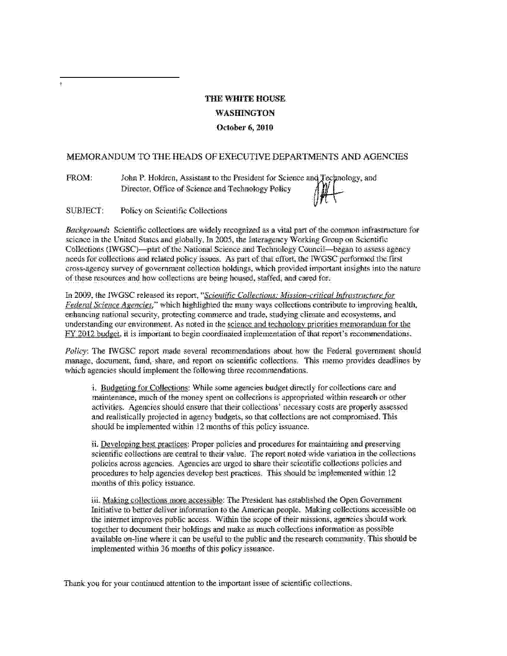# THE WHITE HOUSE **WASHINGTON** October 6, 2010

#### MEMORANDUM TO THE HEADS OF EXECUTIVE DEPARTMENTS AND AGENCIES

FROM: John P. Holdren, Assistant to the President for Science and Technology, and Director, Office of Science and Technology Policy

**SUBJECT:** Policy on Scientific Collections

Background: Scientific collections are widely recognized as a vital part of the common infrastructure for science in the United States and globally. In 2005, the Interagency Working Group on Scientific Collections (IWGSC)—part of the National Science and Technology Council—began to assess agency needs for collections and related policy issues. As part of that effort, the IWGSC performed the first cross-agency survey of government collection holdings, which provided important insights into the nature of these resources and how collections are being housed, staffed, and cared for-

In 2009, the IWGSC released its report, "Scientific Collections: Mission-critical Infrastructure for Federal Science Agencies," which highlighted the many ways collections contribute to improving health, enhancing national security, protecting commerce and trade, studying climate and ecosystems, and understanding our environment. As noted in the science and technology priorities memorandum for the FY 2012 budget, it is important to begin coordinated implementation of that report's recommendations.

Policy: The IWGSC report made several recommendations about how the Federal government should manage, document, fund, share, and report on scientific collections. This memo provides deadlines by which agencies should implement the following three recommendations.

i. Budgeting for Collections: While some agencies budget directly for collections care and maintenance, much of the money spent on collections is appropriated within research or other activities. Agencies should ensure that their collections' necessary costs are properly assessed and realistically projected in agency budgets, so that collections are not compromised. This should be implemented within 12 months of this policy issuance.

ii. Developing best practices: Proper policies and procedures for maintaining and preserving scientific collections are central to their value. The report noted wide variation in the collections policies across agencies. Agencies are urged to share their scientific collections policies and procedures to help agencies develop best practices. This should be implemented within 12 months of this policy issuance.

iii. Making collections more accessible: The President has established the Open Government Initiative to better deliver information to the American people. Making collections accessible on the internet improves public access. Within the scope of their missions, agencies should work. together to document their holdings and make as much collections information as possible available on-line where it can be useful to the public and the research community. This should be implemented within 36 months of this policy issuance.

Thank you for your continued attention to the important issue of scientific collections.